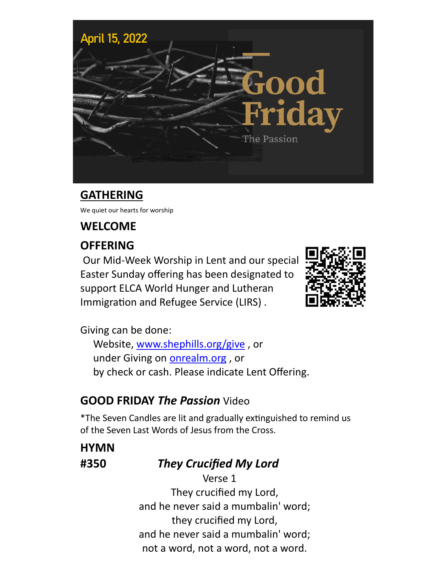

## **GATHERING**

We quiet our hearts for worship

## **WELCOME**

## **OFFERING**

Our Mid-Week Worship in Lent and our special Easter Sunday offering has been designated to support ELCA World Hunger and Lutheran Immigration and Refugee Service (LIRS) .



Giving can be done:

Website, [www.shephills.org/give](http://www.shephills.org/give) , or under Giving on <onrealm.org> , or by check or cash. Please indicate Lent Offering.

## **GOOD FRIDAY** *The Passion* Video

\*The Seven Candles are lit and gradually extinguished to remind us of the Seven Last Words of Jesus from the Cross.

**HYMN**

## **#350** *They Crucified My Lord*

Verse 1 They crucified my Lord, and he never said a mumbalin' word; they crucified my Lord, and he never said a mumbalin' word; not a word, not a word, not a word.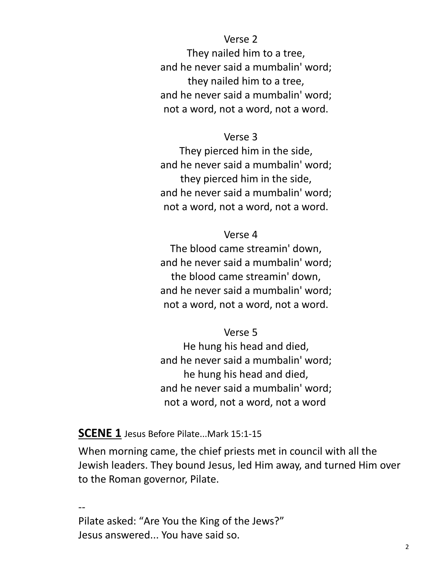#### Verse 2

 They nailed him to a tree, and he never said a mumbalin' word; they nailed him to a tree, and he never said a mumbalin' word; not a word, not a word, not a word.

#### Verse 3

 They pierced him in the side, and he never said a mumbalin' word; they pierced him in the side, and he never said a mumbalin' word; not a word, not a word, not a word.

#### Verse 4

 The blood came streamin' down, and he never said a mumbalin' word; the blood came streamin' down, and he never said a mumbalin' word; not a word, not a word, not a word.

#### Verse 5

 He hung his head and died, and he never said a mumbalin' word; he hung his head and died, and he never said a mumbalin' word; not a word, not a word, not a word.

#### **SCENE 1** Jesus Before Pilate...Mark 15:1-15

When morning came, the chief priests met in council with all the Jewish leaders. They bound Jesus, led Him away, and turned Him over to the Roman governor, Pilate.

-- Pilate asked: "Are You the King of the Jews?" Jesus answered... You have said so.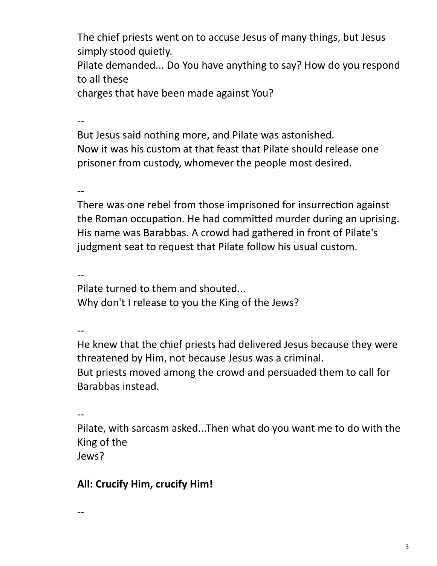The chief priests went on to accuse Jesus of many things, but Jesus simply stood quietly.

Pilate demanded... Do You have anything to say? How do you respond to all these

charges that have been made against You?

--

But Jesus said nothing more, and Pilate was astonished. Now it was his custom at that feast that Pilate should release one prisoner from custody, whomever the people most desired.

--

There was one rebel from those imprisoned for insurrection against the Roman occupation. He had committed murder during an uprising. His name was Barabbas. A crowd had gathered in front of Pilate's judgment seat to request that Pilate follow his usual custom.

--

Pilate turned to them and shouted... Why don't I release to you the King of the Jews?

--

He knew that the chief priests had delivered Jesus because they were threatened by Him, not because Jesus was a criminal. But priests moved among the crowd and persuaded them to call for Barabbas instead.

--

Pilate, with sarcasm asked...Then what do you want me to do with the King of the Jews?

## **All: Crucify Him, crucify Him!**

--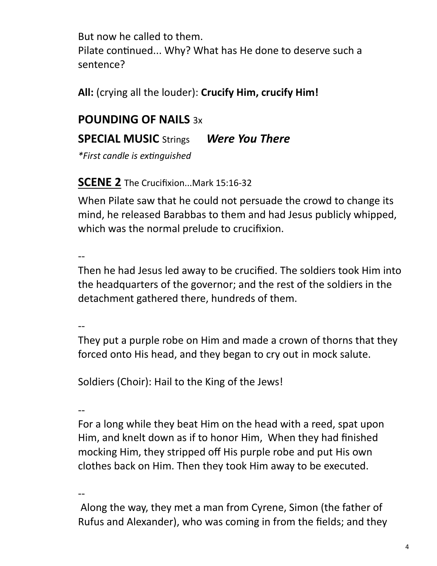But now he called to them. Pilate continued... Why? What has He done to deserve such a sentence?

**All:** (crying all the louder): **Crucify Him, crucify Him!** 

## **POUNDING OF NAILS** 3x

## **SPECIAL MUSIC** Strings *Were You There*

*\*First candle is extinguished*

## **SCENE 2** The Crucifixion...Mark 15:16-32

When Pilate saw that he could not persuade the crowd to change its mind, he released Barabbas to them and had Jesus publicly whipped, which was the normal prelude to crucifixion.

--

Then he had Jesus led away to be crucified. The soldiers took Him into the headquarters of the governor; and the rest of the soldiers in the detachment gathered there, hundreds of them.

--

They put a purple robe on Him and made a crown of thorns that they forced onto His head, and they began to cry out in mock salute.

Soldiers (Choir): Hail to the King of the Jews!

--

For a long while they beat Him on the head with a reed, spat upon Him, and knelt down as if to honor Him, When they had finished mocking Him, they stripped off His purple robe and put His own clothes back on Him. Then they took Him away to be executed.

--

Along the way, they met a man from Cyrene, Simon (the father of Rufus and Alexander), who was coming in from the fields; and they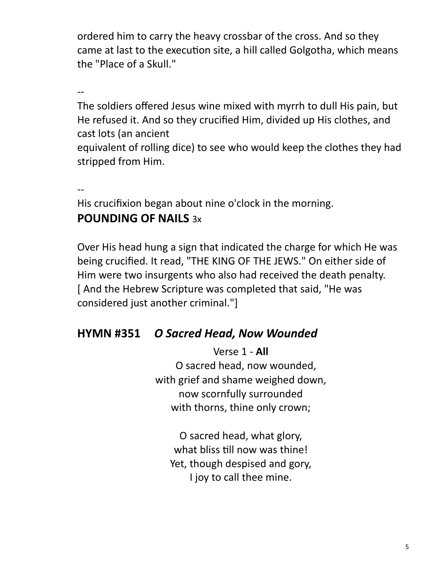ordered him to carry the heavy crossbar of the cross. And so they came at last to the execution site, a hill called Golgotha, which means the "Place of a Skull."

--

The soldiers offered Jesus wine mixed with myrrh to dull His pain, but He refused it. And so they crucified Him, divided up His clothes, and cast lots (an ancient

equivalent of rolling dice) to see who would keep the clothes they had stripped from Him.

--

His crucifixion began about nine o'clock in the morning. **POUNDING OF NAILS** 3x

Over His head hung a sign that indicated the charge for which He was being crucified. It read, "THE KING OF THE JEWS." On either side of Him were two insurgents who also had received the death penalty. [ And the Hebrew Scripture was completed that said, "He was considered just another criminal."]

## **HYMN #351** *O Sacred Head, Now Wounded*

Verse 1 - **All** O sacred head, now wounded, with grief and shame weighed down, now scornfully surrounded with thorns, thine only crown;

O sacred head, what glory, what bliss till now was thine! Yet, though despised and gory, I joy to call thee mine.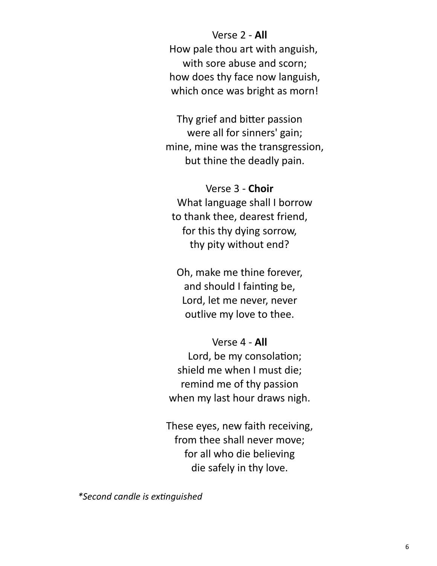#### Verse 2 - **All**

 How pale thou art with anguish, with sore abuse and scorn; how does thy face now languish, which once was bright as morn!

Thy grief and bitter passion were all for sinners' gain; mine, mine was the transgression, but thine the deadly pain.

Verse 3 - **Choir** What language shall I borrow to thank thee, dearest friend, for this thy dying sorrow, thy pity without end?

Oh, make me thine forever, and should I fainting be, Lord, let me never, never outlive my love to thee.

## Verse 4 - **All**

 Lord, be my consolation; shield me when I must die; remind me of thy passion when my last hour draws nigh.

These eyes, new faith receiving, from thee shall never move; for all who die believing die safely in thy love.

*\*Second candle is extinguished*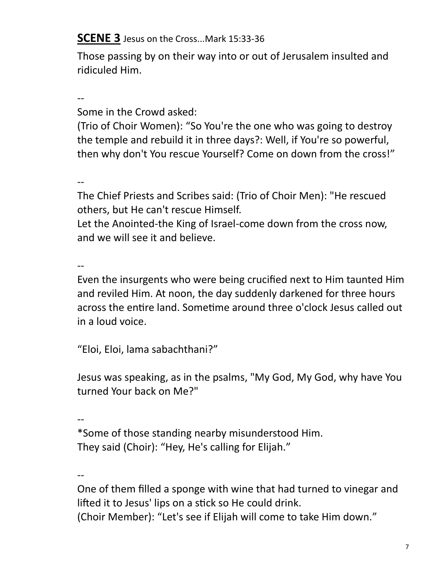**SCENE 3** Jesus on the Cross...Mark 15:33-36

Those passing by on their way into or out of Jerusalem insulted and ridiculed Him.

-- Some in the Crowd asked:

(Trio of Choir Women): "So You're the one who was going to destroy the temple and rebuild it in three days?: Well, if You're so powerful, then why don't You rescue Yourself? Come on down from the cross!"

--

The Chief Priests and Scribes said: (Trio of Choir Men): "He rescued others, but He can't rescue Himself.

Let the Anointed-the King of Israel-come down from the cross now, and we will see it and believe.

--

Even the insurgents who were being crucified next to Him taunted Him and reviled Him. At noon, the day suddenly darkened for three hours across the entire land. Sometime around three o'clock Jesus called out in a loud voice.

"Eloi, Eloi, lama sabachthani?"

Jesus was speaking, as in the psalms, "My God, My God, why have You turned Your back on Me?"

--

\*Some of those standing nearby misunderstood Him. They said (Choir): "Hey, He's calling for Elijah."

--

One of them filled a sponge with wine that had turned to vinegar and lifted it to Jesus' lips on a stick so He could drink.

(Choir Member): "Let's see if Elijah will come to take Him down."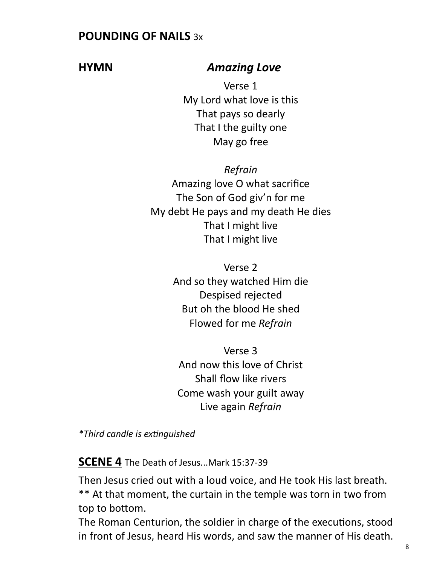## **POUNDING OF NAILS** 3x

## **HYMN** *Amazing Love*

Verse 1 My Lord what love is this That pays so dearly That I the guilty one May go free

*Refrain* Amazing love O what sacrifice The Son of God giv'n for me My debt He pays and my death He dies That I might live That I might live

> Verse 2 And so they watched Him die Despised rejected But oh the blood He shed Flowed for me *Refrain*

Verse 3 And now this love of Christ Shall flow like rivers Come wash your guilt away Live again *Refrain*

*\*Third candle is extinguished*

**SCENE 4** The Death of Jesus...Mark 15:37-39

Then Jesus cried out with a loud voice, and He took His last breath. \*\* At that moment, the curtain in the temple was torn in two from top to bottom.

The Roman Centurion, the soldier in charge of the executions, stood in front of Jesus, heard His words, and saw the manner of His death.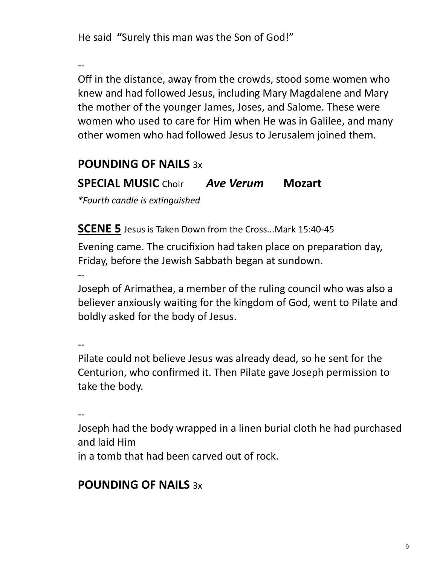He said **"**Surely this man was the Son of God!"

--

Off in the distance, away from the crowds, stood some women who knew and had followed Jesus, including Mary Magdalene and Mary the mother of the younger James, Joses, and Salome. These were women who used to care for Him when He was in Galilee, and many other women who had followed Jesus to Jerusalem joined them.

## **POUNDING OF NAILS** 3x

## **SPECIAL MUSIC** Choir *Ave Verum* **Mozart**

*\*Fourth candle is extinguished*

**SCENE 5** Jesus is Taken Down from the Cross...Mark 15:40-45

Evening came. The crucifixion had taken place on preparation day, Friday, before the Jewish Sabbath began at sundown.

--

Joseph of Arimathea, a member of the ruling council who was also a believer anxiously waiting for the kingdom of God, went to Pilate and boldly asked for the body of Jesus.

--

Pilate could not believe Jesus was already dead, so he sent for the Centurion, who confirmed it. Then Pilate gave Joseph permission to take the body.

--

Joseph had the body wrapped in a linen burial cloth he had purchased and laid Him

in a tomb that had been carved out of rock.

## **POUNDING OF NAILS** 3x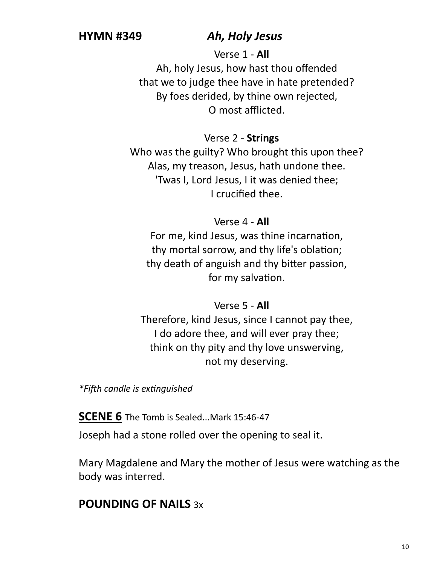#### **HYMN #349** *Ah, Holy Jesus*

Verse 1 - **All**

 Ah, holy Jesus, how hast thou offended that we to judge thee have in hate pretended? By foes derided, by thine own rejected, O most afflicted.

#### Verse 2 - **Strings**

 Who was the guilty? Who brought this upon thee? Alas, my treason, Jesus, hath undone thee. 'Twas I, Lord Jesus, I it was denied thee; I crucified thee.

#### Verse 4 - **All**

 For me, kind Jesus, was thine incarnation, thy mortal sorrow, and thy life's oblation; thy death of anguish and thy bitter passion, for my salvation.

#### Verse 5 - **All**

 Therefore, kind Jesus, since I cannot pay thee, I do adore thee, and will ever pray thee; think on thy pity and thy love unswerving, not my deserving.

*\*Fifth candle is extinguished*

**SCENE 6** The Tomb is Sealed...Mark 15:46-47 Joseph had a stone rolled over the opening to seal it.

Mary Magdalene and Mary the mother of Jesus were watching as the body was interred.

## **POUNDING OF NAILS** 3x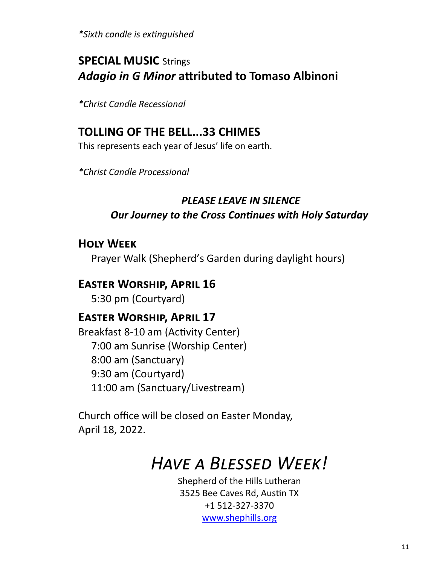*\*Sixth candle is extinguished*

## **SPECIAL MUSIC** Strings *Adagio in G Minor* **attributed to Tomaso Albinoni**

*\*Christ Candle Recessional* 

## **TOLLING OF THE BELL...33 CHIMES**

This represents each year of Jesus' life on earth.

*\*Christ Candle Processional* 

## *PLEASE LEAVE IN SILENCE Our Journey to the Cross Continues with Holy Saturday*

#### **Holy Week**

Prayer Walk (Shepherd's Garden during daylight hours)

## **Easter Worship, April 16**

5:30 pm (Courtyard)

## **Easter Worship, April 17**

Breakfast 8-10 am (Activity Center) 7:00 am Sunrise (Worship Center) 8:00 am (Sanctuary) 9:30 am (Courtyard) 11:00 am (Sanctuary/Livestream)

Church office will be closed on Easter Monday, April 18, 2022.

# *Have a Blessed Week!*

Shepherd of the Hills Lutheran 3525 Bee Caves Rd, Austin TX +1 512-327-3370 [www.shephills.org](http://www.shephills.org)